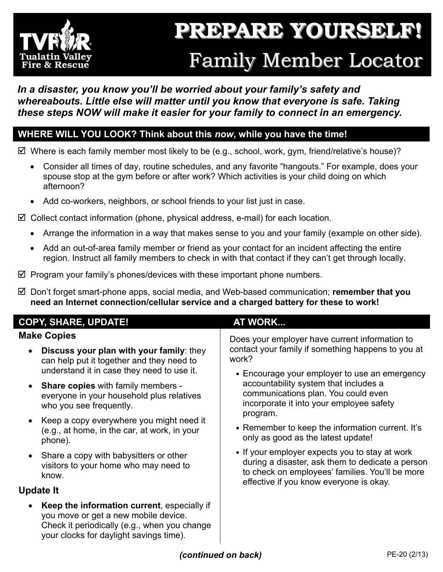

## **PREPARE YOURSELF! PREPARE YOURSELF! Family Member Locator**

## *In a disaster, you know you'll be worried about your family's safety and whereabouts. Little else will matter until you know that everyone is safe. Taking these steps NOW will make it easier for your family to connect in an emergency.*

## **WHERE WILL YOU LOOK? Think about this** *now***, while you have the time!**

 $\boxtimes$  Where is each family member most likely to be (e.g., school, work, gym, friend/relative's house)?

- Consider all times of day, routine schedules, and any favorite "hangouts." For example, does your spouse stop at the gym before or after work? Which activities is your child doing on which afternoon?
- Add co-workers, neighbors, or school friends to your list just in case.

 $\boxtimes$  Collect contact information (phone, physical address, e-mail) for each location.

- Arrange the information in a way that makes sense to you and your family (example on other side).
- Add an out-of-area family member or friend as your contact for an incident affecting the entire region. Instruct all family members to check in with that contact if they can't get through locally.
- $\boxtimes$  Program your family's phones/devices with these important phone numbers.
- Don't forget smart-phone apps, social media, and Web-based communication; **remember that you need an Internet connection/cellular service and a charged battery for these to work!**

| <b>COPY, SHARE, UPDATE!</b>                                                                                                                                                    | <b>AT WORK</b>                                                                                                                                                                                   |  |
|--------------------------------------------------------------------------------------------------------------------------------------------------------------------------------|--------------------------------------------------------------------------------------------------------------------------------------------------------------------------------------------------|--|
| <b>Make Copies</b>                                                                                                                                                             | Does your employer have current information to                                                                                                                                                   |  |
| Discuss your plan with your family: they<br>can help put it together and they need to                                                                                          | contact your family if something happens to you at<br>work?                                                                                                                                      |  |
| understand it in case they need to use it.                                                                                                                                     | • Encourage your employer to use an emergency                                                                                                                                                    |  |
| • Share copies with family members -<br>everyone in your household plus relatives<br>who you see frequently.                                                                   | accountability system that includes a<br>communications plan. You could even<br>incorporate it into your employee safety                                                                         |  |
| Keep a copy everywhere you might need it<br>(e.g., at home, in the car, at work, in your<br>phone).                                                                            | program.<br>• Remember to keep the information current. It's<br>only as good as the latest update!                                                                                               |  |
| Share a copy with babysitters or other<br>visitors to your home who may need to<br>know.                                                                                       | • If your employer expects you to stay at work<br>during a disaster, ask them to dedicate a person<br>to check on employees' families. You'll be more<br>effective if you know everyone is okay. |  |
| <b>Update It</b>                                                                                                                                                               |                                                                                                                                                                                                  |  |
| Keep the information current, especially if<br>you move or get a new mobile device.<br>Check it periodically (e.g., when you change<br>your clocks for daylight savings time). |                                                                                                                                                                                                  |  |